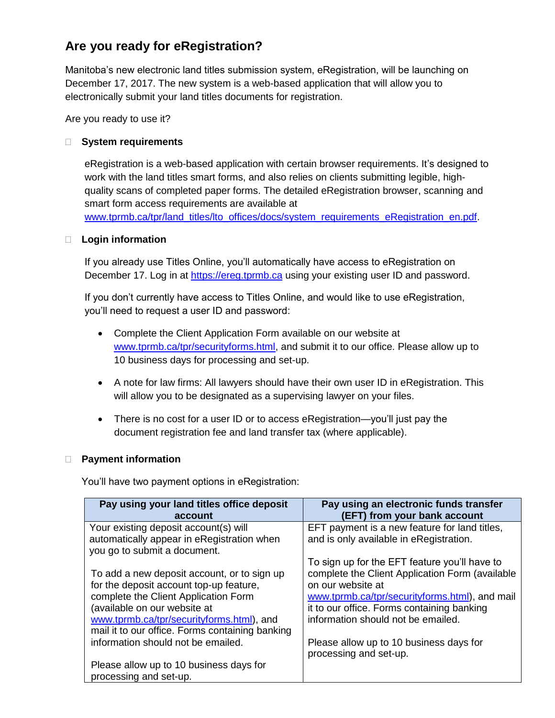# **Are you ready for eRegistration?**

Manitoba's new electronic land titles submission system, eRegistration, will be launching on December 17, 2017. The new system is a web-based application that will allow you to electronically submit your land titles documents for registration.

Are you ready to use it?

# **System requirements**

eRegistration is a web-based application with certain browser requirements. It's designed to work with the land titles smart forms, and also relies on clients submitting legible, highquality scans of completed paper forms. The detailed eRegistration browser, scanning and smart form access requirements are available at [www.tprmb.ca/tpr/land\\_titles/lto\\_offices/docs/system\\_requirements\\_eRegistration\\_en.pdf.](http://www.tprmb.ca/tpr/land_titles/lto_offices/docs/system_requirements_eRegistration_en.pdf)

## **Login information**

If you already use Titles Online, you'll automatically have access to eRegistration on December 17. Log in at [https://ereg.tprmb.ca](https://ereg.tprmb.ca/) using your existing user ID and password.

If you don't currently have access to Titles Online, and would like to use eRegistration, you'll need to request a user ID and password:

- Complete the Client Application Form available on our website at [www.tprmb.ca/tpr/securityforms.html,](http://www.tprmb.ca/tpr/securityforms.html) and submit it to our office. Please allow up to 10 business days for processing and set-up.
- A note for law firms: All lawyers should have their own user ID in eRegistration. This will allow you to be designated as a supervising lawyer on your files.
- There is no cost for a user ID or to access eRegistration—you'll just pay the document registration fee and land transfer tax (where applicable).

# **Payment information**

You'll have two payment options in eRegistration:

| Pay using your land titles office deposit<br>account                                | Pay using an electronic funds transfer<br>(EFT) from your bank account                   |
|-------------------------------------------------------------------------------------|------------------------------------------------------------------------------------------|
| Your existing deposit account(s) will<br>automatically appear in eRegistration when | EFT payment is a new feature for land titles,<br>and is only available in eRegistration. |
| you go to submit a document.                                                        |                                                                                          |
|                                                                                     | To sign up for the EFT feature you'll have to                                            |
| To add a new deposit account, or to sign up                                         | complete the Client Application Form (available                                          |
| for the deposit account top-up feature,                                             | on our website at                                                                        |
| complete the Client Application Form                                                | www.tprmb.ca/tpr/securityforms.html), and mail                                           |
| (available on our website at                                                        | it to our office. Forms containing banking                                               |
| www.tprmb.ca/tpr/securityforms.html), and                                           | information should not be emailed.                                                       |
| mail it to our office. Forms containing banking                                     |                                                                                          |
| information should not be emailed.                                                  | Please allow up to 10 business days for                                                  |
|                                                                                     | processing and set-up.                                                                   |
| Please allow up to 10 business days for                                             |                                                                                          |
| processing and set-up.                                                              |                                                                                          |